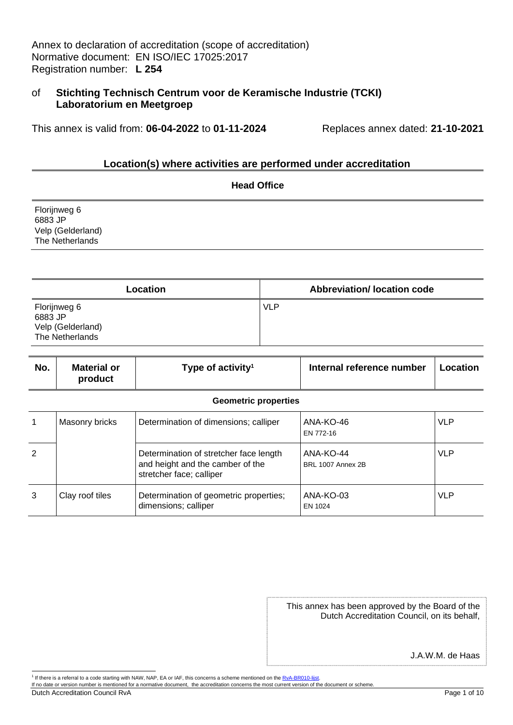Annex to declaration of accreditation (scope of accreditation) Normative document: EN ISO/IEC 17025:2017 Registration number: **L 254**

## of **Stichting Technisch Centrum voor de Keramische Industrie (TCKI) Laboratorium en Meetgroep**

This annex is valid from: **06-04-2022** to **01-11-2024** Replaces annex dated: **21-10-2021**

### **Location(s) where activities are performed under accreditation**

|                                                                 | <b>Head Office</b> |
|-----------------------------------------------------------------|--------------------|
| Florijnweg 6<br>6883 JP<br>Velp (Gelderland)<br>The Netherlands |                    |

| Location                                                        | <b>Abbreviation/Iocation code</b> |
|-----------------------------------------------------------------|-----------------------------------|
| Florijnweg 6<br>6883 JP<br>Velp (Gelderland)<br>The Netherlands | <b>VLP</b>                        |

| No. | Material or<br>product | Type of activity <sup>1</sup>                                                                          | Internal reference number      | Location   |
|-----|------------------------|--------------------------------------------------------------------------------------------------------|--------------------------------|------------|
|     |                        | <b>Geometric properties</b>                                                                            |                                |            |
|     | <b>Masonry bricks</b>  | Determination of dimensions; calliper                                                                  | ANA-KO-46<br>EN 772-16         | <b>VLP</b> |
| 2   |                        | Determination of stretcher face length<br>and height and the camber of the<br>stretcher face; calliper | ANA-KO-44<br>BRL 1007 Annex 2B | <b>VLP</b> |
| 3   | Clay roof tiles        | Determination of geometric properties;<br>dimensions; calliper                                         | ANA-KO-03<br>EN 1024           | <b>VLP</b> |

This annex has been approved by the Board of the Dutch Accreditation Council, on its behalf,

J.A.W.M. de Haas

Dutch Accreditation Council RvA Page 1 of 10

<sup>&</sup>lt;sup>1</sup> If there is a referral to a code starting with NAW, NAP, EA or IAF, this concerns a scheme mentioned on the RvA-BR010-lijst.

If no date or version number is mentioned for a normative document, the accreditation concerns the most current version of the document or scheme.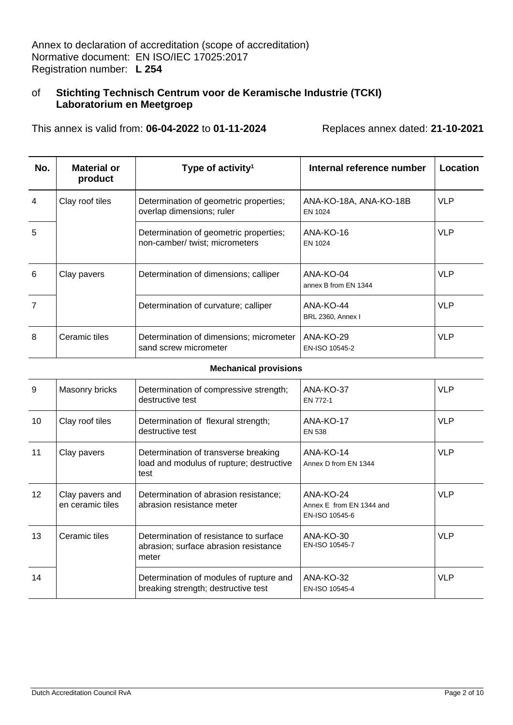This annex is valid from: **06-04-2022** to **01-11-2024** Replaces annex dated: **21-10-2021**

| No.            | Material or<br>product | Type of activity <sup>1</sup>                                            | Internal reference number         | Location   |
|----------------|------------------------|--------------------------------------------------------------------------|-----------------------------------|------------|
| 4              | Clay roof tiles        | Determination of geometric properties;<br>overlap dimensions; ruler      | ANA-KO-18A, ANA-KO-18B<br>EN 1024 | <b>VLP</b> |
| 5              |                        | Determination of geometric properties;<br>non-camber/ twist; micrometers | ANA-KO-16<br>EN 1024              | <b>VLP</b> |
| 6              | Clay pavers            | Determination of dimensions; calliper                                    | ANA-KO-04<br>annex B from EN 1344 | <b>VLP</b> |
| $\overline{7}$ |                        | Determination of curvature; calliper                                     | ANA-KO-44<br>BRL 2360, Annex I    | <b>VLP</b> |
| 8              | Ceramic tiles          | Determination of dimensions; micrometer<br>sand screw micrometer         | ANA-KO-29<br>EN-ISO 10545-2       | <b>VLP</b> |

#### **Mechanical provisions**

| 9  | Masonry bricks                      | Determination of compressive strength;<br>destructive test                               | ANA-KO-37<br>EN 772-1                                   | <b>VLP</b> |
|----|-------------------------------------|------------------------------------------------------------------------------------------|---------------------------------------------------------|------------|
| 10 | Clay roof tiles                     | Determination of flexural strength;<br>destructive test                                  | ANA-KO-17<br><b>EN 538</b>                              | <b>VLP</b> |
| 11 | Clay pavers                         | Determination of transverse breaking<br>load and modulus of rupture; destructive<br>test | ANA-KO-14<br>Annex D from EN 1344                       | <b>VLP</b> |
| 12 | Clay pavers and<br>en ceramic tiles | Determination of abrasion resistance:<br>abrasion resistance meter                       | ANA-KO-24<br>Annex E from EN 1344 and<br>EN-ISO 10545-6 | <b>VLP</b> |
| 13 | Ceramic tiles                       | Determination of resistance to surface<br>abrasion; surface abrasion resistance<br>meter | ANA-KO-30<br>EN-ISO 10545-7                             | <b>VLP</b> |
| 14 |                                     | Determination of modules of rupture and<br>breaking strength; destructive test           | ANA-KO-32<br>EN-ISO 10545-4                             | <b>VLP</b> |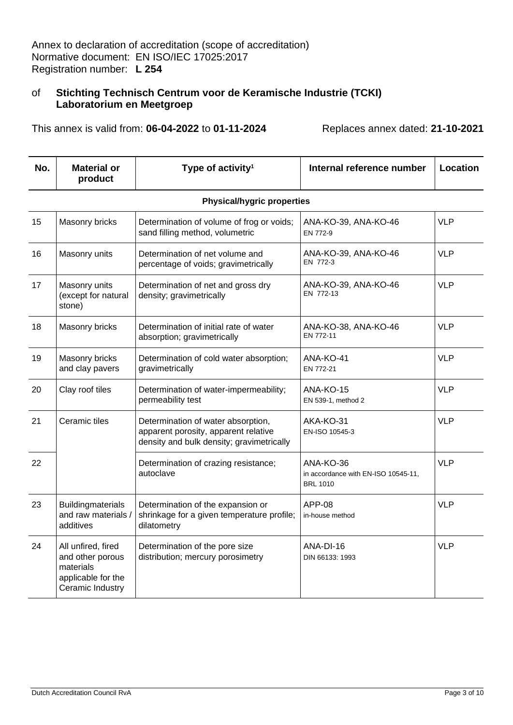This annex is valid from: **06-04-2022** to **01-11-2024** Replaces annex dated: **21-10-2021**

|  | No. | <b>Material or</b><br>product | Type of activity <sup>1</sup> | Internal reference number | Location |
|--|-----|-------------------------------|-------------------------------|---------------------------|----------|
|--|-----|-------------------------------|-------------------------------|---------------------------|----------|

### **Physical/hygric properties**

| 15 | Masonry bricks                                                                                | Determination of volume of frog or voids;<br>sand filling method, volumetric                                            | ANA-KO-39, ANA-KO-46<br>EN 772-9                                    | <b>VLP</b> |
|----|-----------------------------------------------------------------------------------------------|-------------------------------------------------------------------------------------------------------------------------|---------------------------------------------------------------------|------------|
| 16 | Masonry units                                                                                 | Determination of net volume and<br>percentage of voids; gravimetrically                                                 | ANA-KO-39, ANA-KO-46<br>EN 772-3                                    | <b>VLP</b> |
| 17 | Masonry units<br>(except for natural<br>stone)                                                | Determination of net and gross dry<br>density; gravimetrically                                                          | ANA-KO-39, ANA-KO-46<br>EN 772-13                                   | <b>VLP</b> |
| 18 | Masonry bricks                                                                                | Determination of initial rate of water<br>absorption; gravimetrically                                                   | ANA-KO-38, ANA-KO-46<br>EN 772-11                                   | <b>VLP</b> |
| 19 | Masonry bricks<br>and clay pavers                                                             | Determination of cold water absorption;<br>gravimetrically                                                              | ANA-KO-41<br>EN 772-21                                              | <b>VLP</b> |
| 20 | Clay roof tiles                                                                               | Determination of water-impermeability;<br>permeability test                                                             | ANA-KO-15<br>EN 539-1, method 2                                     | <b>VLP</b> |
| 21 | Ceramic tiles                                                                                 | Determination of water absorption,<br>apparent porosity, apparent relative<br>density and bulk density; gravimetrically | AKA-KO-31<br>EN-ISO 10545-3                                         | <b>VLP</b> |
| 22 |                                                                                               | Determination of crazing resistance;<br>autoclave                                                                       | ANA-KO-36<br>in accordance with EN-ISO 10545-11,<br><b>BRL 1010</b> | <b>VLP</b> |
| 23 | <b>Buildingmaterials</b><br>and raw materials /<br>additives                                  | Determination of the expansion or<br>shrinkage for a given temperature profile;<br>dilatometry                          | <b>APP-08</b><br>in-house method                                    | <b>VLP</b> |
| 24 | All unfired, fired<br>and other porous<br>materials<br>applicable for the<br>Ceramic Industry | Determination of the pore size<br>distribution; mercury porosimetry                                                     | ANA-DI-16<br>DIN 66133: 1993                                        | <b>VLP</b> |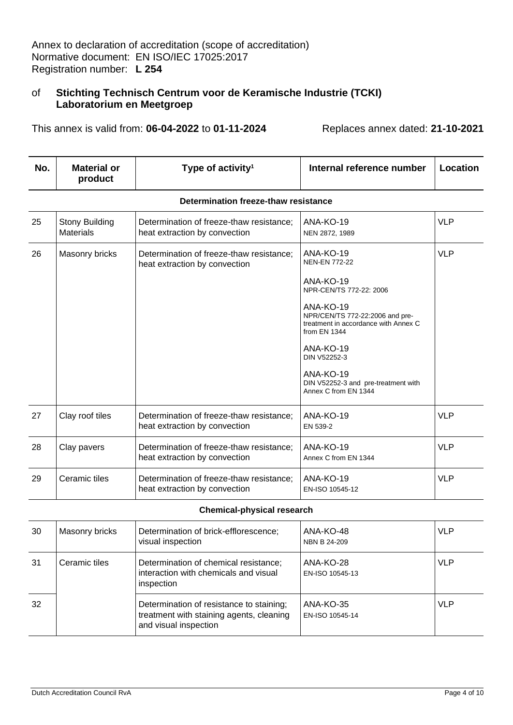This annex is valid from: **06-04-2022** to **01-11-2024** Replaces annex dated: **21-10-2021**

| No. | <b>Material or</b><br>product | Type of activity <sup>1</sup> | Internal reference number | ∣ Location |
|-----|-------------------------------|-------------------------------|---------------------------|------------|
|-----|-------------------------------|-------------------------------|---------------------------|------------|

| 25 | <b>Stony Building</b><br><b>Materials</b> | Determination of freeze-thaw resistance;<br>heat extraction by convection | ANA-KO-19<br>NEN 2872, 1989                                                                                                                                                                                                                                        | <b>VLP</b> |
|----|-------------------------------------------|---------------------------------------------------------------------------|--------------------------------------------------------------------------------------------------------------------------------------------------------------------------------------------------------------------------------------------------------------------|------------|
| 26 | Masonry bricks                            | Determination of freeze-thaw resistance;<br>heat extraction by convection | ANA-KO-19<br><b>NEN-EN 772-22</b><br>ANA-KO-19<br>NPR-CEN/TS 772-22: 2006<br>ANA-KO-19<br>NPR/CEN/TS 772-22:2006 and pre-<br>treatment in accordance with Annex C<br>from EN 1344<br>ANA-KO-19<br>DIN V52252-3<br>ANA-KO-19<br>DIN V52252-3 and pre-treatment with | <b>VLP</b> |
|    |                                           |                                                                           | Annex C from EN 1344                                                                                                                                                                                                                                               |            |
| 27 | Clay roof tiles                           | Determination of freeze-thaw resistance;<br>heat extraction by convection | ANA-KO-19<br>EN 539-2                                                                                                                                                                                                                                              | <b>VLP</b> |
| 28 | Clay pavers                               | Determination of freeze-thaw resistance;<br>heat extraction by convection | ANA-KO-19<br>Annex C from EN 1344                                                                                                                                                                                                                                  | <b>VLP</b> |
| 29 | Ceramic tiles                             | Determination of freeze-thaw resistance;<br>heat extraction by convection | ANA-KO-19<br>EN-ISO 10545-12                                                                                                                                                                                                                                       | <b>VLP</b> |

#### **Determination freeze-thaw resistance**

#### **Chemical-physical research**

| 30  | Masonry bricks | Determination of brick-efflorescence;<br>visual inspection                                                    | ANA-KO-48<br>NBN B 24-209    | <b>VLP</b> |
|-----|----------------|---------------------------------------------------------------------------------------------------------------|------------------------------|------------|
| -31 | Ceramic tiles  | Determination of chemical resistance;<br>interaction with chemicals and visual<br>inspection                  | ANA-KO-28<br>EN-ISO 10545-13 | <b>VLP</b> |
| 32  |                | Determination of resistance to staining;<br>treatment with staining agents, cleaning<br>and visual inspection | ANA-KO-35<br>EN-ISO 10545-14 | <b>VLP</b> |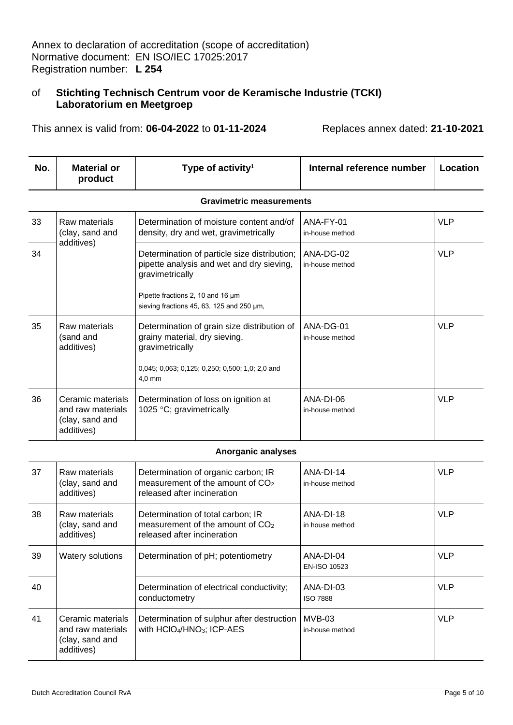This annex is valid from: **06-04-2022** to **01-11-2024** Replaces annex dated: **21-10-2021**

| No. | <b>Material or</b><br>product                                           | Type of activity <sup>1</sup>                                                                                                                                                                  | Internal reference number    | Location   |
|-----|-------------------------------------------------------------------------|------------------------------------------------------------------------------------------------------------------------------------------------------------------------------------------------|------------------------------|------------|
|     |                                                                         | <b>Gravimetric measurements</b>                                                                                                                                                                |                              |            |
| 33  | Raw materials<br>(clay, sand and<br>additives)                          | Determination of moisture content and/of<br>density, dry and wet, gravimetrically                                                                                                              | ANA-FY-01<br>in-house method | <b>VLP</b> |
| 34  |                                                                         | Determination of particle size distribution;<br>pipette analysis and wet and dry sieving,<br>gravimetrically<br>Pipette fractions 2, 10 and 16 µm<br>sieving fractions 45, 63, 125 and 250 µm, | ANA-DG-02<br>in-house method | <b>VLP</b> |
| 35  | Raw materials<br>(sand and<br>additives)                                | Determination of grain size distribution of<br>grainy material, dry sieving,<br>gravimetrically<br>0,045; 0,063; 0,125; 0,250; 0,500; 1,0; 2,0 and<br>$4.0$ mm                                 | ANA-DG-01<br>in-house method | <b>VLP</b> |
| 36  | Ceramic materials<br>and raw materials<br>(clay, sand and<br>additives) | Determination of loss on ignition at<br>1025 $\degree$ C; gravimetrically                                                                                                                      | ANA-DI-06<br>in-house method | <b>VLP</b> |

### **Anorganic analyses**

| 37 | Raw materials<br>(clay, sand and<br>additives)                          | Determination of organic carbon; IR<br>measurement of the amount of CO <sub>2</sub><br>released after incineration | ANA-DI-14<br>in-house method | <b>VLP</b> |
|----|-------------------------------------------------------------------------|--------------------------------------------------------------------------------------------------------------------|------------------------------|------------|
| 38 | Raw materials<br>(clay, sand and<br>additives)                          | Determination of total carbon; IR<br>measurement of the amount of $CO2$<br>released after incineration             | ANA-DI-18<br>in house method | <b>VLP</b> |
| 39 | Watery solutions                                                        | Determination of pH; potentiometry                                                                                 | ANA-DI-04<br>EN-ISO 10523    | <b>VLP</b> |
| 40 |                                                                         | Determination of electrical conductivity;<br>conductometry                                                         | ANA-DI-03<br><b>ISO 7888</b> | <b>VLP</b> |
| 41 | Ceramic materials<br>and raw materials<br>(clay, sand and<br>additives) | Determination of sulphur after destruction<br>with HCIO <sub>4</sub> /HNO <sub>3</sub> ; ICP-AES                   | MVB-03<br>in-house method    | <b>VLP</b> |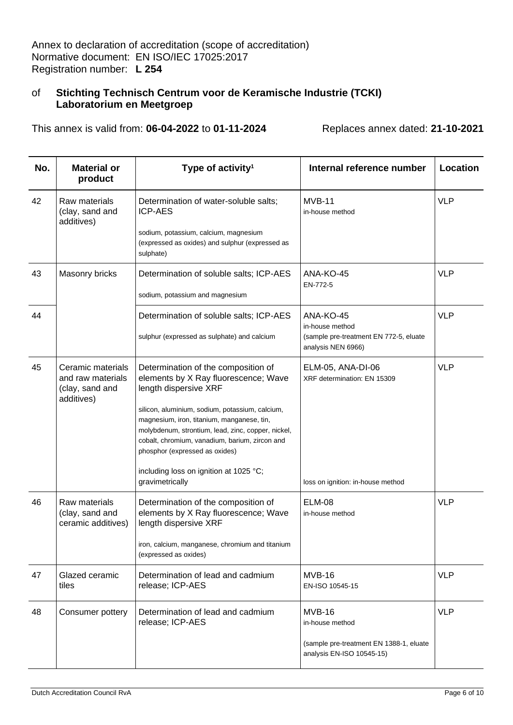This annex is valid from: **06-04-2022** to **01-11-2024** Replaces annex dated: **21-10-2021**

| No. | <b>Material or</b><br>product                                           | Type of activity <sup>1</sup>                                                                                                                                                                                                           | Internal reference number                                            | Location   |
|-----|-------------------------------------------------------------------------|-----------------------------------------------------------------------------------------------------------------------------------------------------------------------------------------------------------------------------------------|----------------------------------------------------------------------|------------|
| 42  | Raw materials<br>(clay, sand and<br>additives)                          | Determination of water-soluble salts;<br><b>ICP-AES</b><br>sodium, potassium, calcium, magnesium                                                                                                                                        | $MVB-11$<br>in-house method                                          | <b>VLP</b> |
|     |                                                                         | (expressed as oxides) and sulphur (expressed as<br>sulphate)                                                                                                                                                                            |                                                                      |            |
| 43  | Masonry bricks                                                          | Determination of soluble salts; ICP-AES                                                                                                                                                                                                 | ANA-KO-45<br>EN-772-5                                                | <b>VLP</b> |
|     |                                                                         | sodium, potassium and magnesium                                                                                                                                                                                                         |                                                                      |            |
| 44  |                                                                         | Determination of soluble salts; ICP-AES                                                                                                                                                                                                 | ANA-KO-45<br>in-house method                                         | <b>VLP</b> |
|     |                                                                         | sulphur (expressed as sulphate) and calcium                                                                                                                                                                                             | (sample pre-treatment EN 772-5, eluate<br>analysis NEN 6966)         |            |
| 45  | Ceramic materials<br>and raw materials<br>(clay, sand and<br>additives) | Determination of the composition of<br>elements by X Ray fluorescence; Wave<br>length dispersive XRF                                                                                                                                    | ELM-05, ANA-DI-06<br>XRF determination: EN 15309                     | <b>VLP</b> |
|     |                                                                         | silicon, aluminium, sodium, potassium, calcium,<br>magnesium, iron, titanium, manganese, tin,<br>molybdenum, strontium, lead, zinc, copper, nickel,<br>cobalt, chromium, vanadium, barium, zircon and<br>phosphor (expressed as oxides) |                                                                      |            |
|     |                                                                         | including loss on ignition at 1025 °C;<br>gravimetrically                                                                                                                                                                               | loss on ignition: in-house method                                    |            |
| 46  | Raw materials<br>(clay, sand and<br>ceramic additives)                  | Determination of the composition of<br>elements by X Ray fluorescence; Wave<br>length dispersive XRF                                                                                                                                    | <b>ELM-08</b><br>in-house method                                     | <b>VLP</b> |
|     |                                                                         | iron, calcium, manganese, chromium and titanium<br>(expressed as oxides)                                                                                                                                                                |                                                                      |            |
| 47  | Glazed ceramic<br>tiles                                                 | Determination of lead and cadmium<br>release; ICP-AES                                                                                                                                                                                   | <b>MVB-16</b><br>EN-ISO 10545-15                                     | <b>VLP</b> |
| 48  | Consumer pottery                                                        | Determination of lead and cadmium<br>release; ICP-AES                                                                                                                                                                                   | <b>MVB-16</b><br>in-house method                                     | <b>VLP</b> |
|     |                                                                         |                                                                                                                                                                                                                                         | (sample pre-treatment EN 1388-1, eluate<br>analysis EN-ISO 10545-15) |            |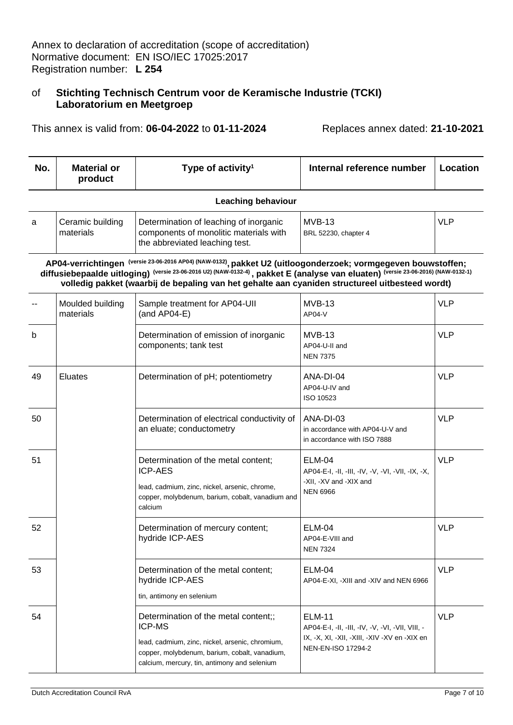This annex is valid from: **06-04-2022** to **01-11-2024** Replaces annex dated: **21-10-2021**

| No. | <b>Material or</b><br>product | Type of activity <sup>1</sup> | Internal reference number | ' Location |
|-----|-------------------------------|-------------------------------|---------------------------|------------|
|-----|-------------------------------|-------------------------------|---------------------------|------------|

#### **Leaching behaviour**

| Ceramic building<br>materials | Determination of leaching of inorganic<br>components of monolitic materials with<br>the abbreviated leaching test. | MVB-13<br>BRL 52230, chapter 4 | <b>VLP</b> |
|-------------------------------|--------------------------------------------------------------------------------------------------------------------|--------------------------------|------------|
|                               |                                                                                                                    |                                |            |

**AP04-verrichtingen (versie 23-06-2016 AP04) (NAW-0132) , pakket U2 (uitloogonderzoek; vormgegeven bouwstoffen; diffusiebepaalde uitloging) (versie 23-06-2016 U2) (NAW-0132-4) , pakket E (analyse van eluaten) (versie 23-06-2016) (NAW-0132-1) volledig pakket (waarbij de bepaling van het gehalte aan cyaniden structureel uitbesteed wordt)** 

|    | Moulded building<br>materials | Sample treatment for AP04-UII<br>(and $AP04-E$ )                                                                                                                                                   | <b>MVB-13</b><br>$AP04-V$                                                                                                                      | <b>VLP</b> |
|----|-------------------------------|----------------------------------------------------------------------------------------------------------------------------------------------------------------------------------------------------|------------------------------------------------------------------------------------------------------------------------------------------------|------------|
| b  |                               | Determination of emission of inorganic<br>components; tank test                                                                                                                                    | <b>MVB-13</b><br>AP04-U-II and<br><b>NEN 7375</b>                                                                                              | <b>VLP</b> |
| 49 | Eluates                       | Determination of pH; potentiometry                                                                                                                                                                 | ANA-DI-04<br>AP04-U-IV and<br>ISO 10523                                                                                                        | <b>VLP</b> |
| 50 |                               | Determination of electrical conductivity of<br>an eluate; conductometry                                                                                                                            | ANA-DI-03<br>in accordance with AP04-U-V and<br>in accordance with ISO 7888                                                                    | <b>VLP</b> |
| 51 |                               | Determination of the metal content;<br><b>ICP-AES</b><br>lead, cadmium, zinc, nickel, arsenic, chrome,<br>copper, molybdenum, barium, cobalt, vanadium and<br>calcium                              | <b>ELM-04</b><br>AP04-E-I, -II, -III, -IV, -V, -VI, -VII, -IX, -X,<br>-XII, -XV and -XIX and<br><b>NEN 6966</b>                                | <b>VLP</b> |
| 52 |                               | Determination of mercury content;<br>hydride ICP-AES                                                                                                                                               | <b>ELM-04</b><br>AP04-E-VIII and<br><b>NEN 7324</b>                                                                                            | <b>VLP</b> |
| 53 |                               | Determination of the metal content;<br>hydride ICP-AES<br>tin, antimony en selenium                                                                                                                | <b>ELM-04</b><br>AP04-E-XI, -XIII and -XIV and NEN 6966                                                                                        | <b>VLP</b> |
| 54 |                               | Determination of the metal content;;<br>ICP-MS<br>lead, cadmium, zinc, nickel, arsenic, chromium,<br>copper, molybdenum, barium, cobalt, vanadium,<br>calcium, mercury, tin, antimony and selenium | <b>ELM-11</b><br>AP04-E-I, -II, -III, -IV, -V, -VI, -VII, VIII, -<br>IX, -X, XI, -XII, -XIII, -XIV -XV en -XIX en<br><b>NEN-EN-ISO 17294-2</b> | <b>VLP</b> |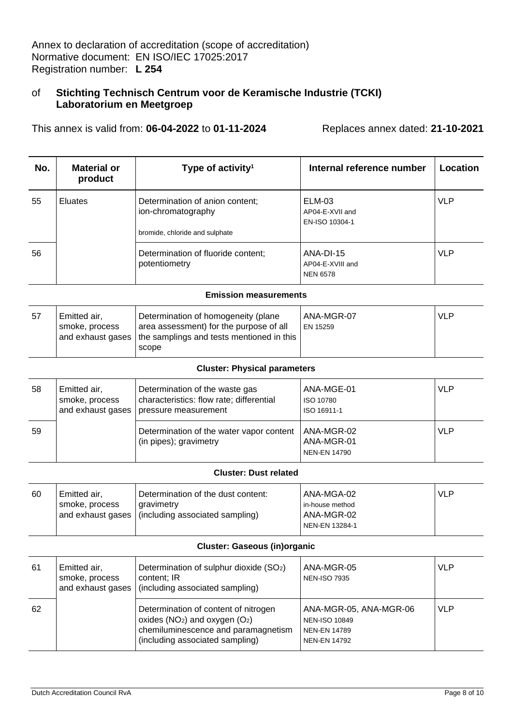This annex is valid from: **06-04-2022** to **01-11-2024** Replaces annex dated: **21-10-2021**

| No. | <b>Material or</b><br>product | Type of activity <sup>1</sup>                                                           | Internal reference number                        | Location   |
|-----|-------------------------------|-----------------------------------------------------------------------------------------|--------------------------------------------------|------------|
| 55  | <b>Eluates</b>                | Determination of anion content;<br>ion-chromatography<br>bromide, chloride and sulphate | ELM-03<br>AP04-E-XVII and<br>EN-ISO 10304-1      | <b>VLP</b> |
| 56  |                               | Determination of fluoride content;<br>potentiometry                                     | ANA-DI-15<br>AP04-E-XVIII and<br><b>NEN 6578</b> | <b>VLP</b> |

#### **Emission measurements**

| -57 | Emitted air,<br>smoke, process | Determination of homogeneity (plane<br>area assessment) for the purpose of all<br>and exhaust gases   the samplings and tests mentioned in this  <br>scope | ANA-MGR-07<br>EN 15259 | <b>VLP</b> |
|-----|--------------------------------|------------------------------------------------------------------------------------------------------------------------------------------------------------|------------------------|------------|
|     |                                |                                                                                                                                                            |                        |            |

#### **Cluster: Physical parameters**

| 58 | Emitted air,<br>smoke, process | Determination of the waste gas<br>characteristics: flow rate; differential<br>and exhaust gases   pressure measurement | ANA-MGE-01<br>ISO 10780<br>ISO 16911-1          | <b>VLP</b> |
|----|--------------------------------|------------------------------------------------------------------------------------------------------------------------|-------------------------------------------------|------------|
| 59 |                                | Determination of the water vapor content<br>(in pipes); gravimetry                                                     | ANA-MGR-02<br>ANA-MGR-01<br><b>NEN-EN 14790</b> | <b>VLP</b> |

#### **Cluster: Dust related**

| 60 | Emitted air,   | Determination of the dust content:                  | ANA-MGA-02      | <b>VLP</b> |
|----|----------------|-----------------------------------------------------|-----------------|------------|
|    | smoke, process | aravimetry                                          | in-house method |            |
|    |                | and exhaust gases   (including associated sampling) | ANA-MGR-02      |            |
|    |                |                                                     | NEN-EN 13284-1  |            |

### **Cluster: Gaseous (in)organic**

| -61 | Emitted air,<br>smoke, process<br>and exhaust gases | Determination of sulphur dioxide (SO <sub>2</sub> )<br>content; IR<br>(including associated sampling)                                                  | ANA-MGR-05<br><b>NEN-ISO 7935</b>                                                            | <b>VLP</b> |
|-----|-----------------------------------------------------|--------------------------------------------------------------------------------------------------------------------------------------------------------|----------------------------------------------------------------------------------------------|------------|
| 62  |                                                     | Determination of content of nitrogen<br>oxides ( $NO2$ ) and oxygen ( $O2$ )<br>chemiluminescence and paramagnetism<br>(including associated sampling) | ANA-MGR-05, ANA-MGR-06<br><b>NEN-ISO 10849</b><br><b>NEN-EN 14789</b><br><b>NEN-EN 14792</b> | <b>VLP</b> |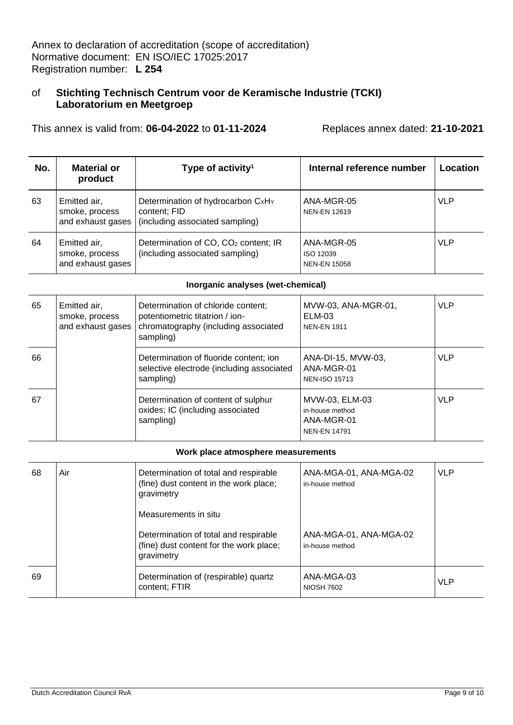This annex is valid from: **06-04-2022** to **01-11-2024** Replaces annex dated: **21-10-2021**

| No. | <b>Material or</b><br>product                       | Type of activity <sup>1</sup>                                                        | Internal reference number                      | Location   |
|-----|-----------------------------------------------------|--------------------------------------------------------------------------------------|------------------------------------------------|------------|
| 63  | Emitted air,<br>smoke, process<br>and exhaust gases | Determination of hydrocarbon CxHY<br>content; FID<br>(including associated sampling) | ANA-MGR-05<br><b>NEN-EN 12619</b>              | <b>VLP</b> |
| 64  | Emitted air,<br>smoke, process<br>and exhaust gases | Determination of CO, CO <sub>2</sub> content; IR<br>(including associated sampling)  | ANA-MGR-05<br>ISO 12039<br><b>NEN-EN 15058</b> | <b>VLP</b> |

### **Inorganic analyses (wet-chemical)**

| 65 | Emitted air,<br>smoke, process<br>and exhaust gases | Determination of chloride content;<br>potentiometric titatrion / ion-<br>chromatography (including associated<br>sampling) | MVW-03, ANA-MGR-01,<br><b>ELM-03</b><br><b>NEN-EN 1911</b>             | <b>VLP</b> |
|----|-----------------------------------------------------|----------------------------------------------------------------------------------------------------------------------------|------------------------------------------------------------------------|------------|
| 66 |                                                     | Determination of fluoride content; ion<br>selective electrode (including associated<br>sampling)                           | ANA-DI-15, MVW-03,<br>ANA-MGR-01<br><b>NEN-ISO 15713</b>               | <b>VLP</b> |
| 67 |                                                     | Determination of content of sulphur<br>oxides; IC (including associated<br>sampling)                                       | MVW-03, ELM-03<br>in-house method<br>ANA-MGR-01<br><b>NEN-EN 14791</b> | <b>VLP</b> |

#### **Work place atmosphere measurements**

| 68 | Air | Determination of total and respirable<br>(fine) dust content in the work place;<br>gravimetry<br>Measurements in situ | ANA-MGA-01, ANA-MGA-02<br>in-house method | <b>VLP</b> |
|----|-----|-----------------------------------------------------------------------------------------------------------------------|-------------------------------------------|------------|
|    |     | Determination of total and respirable<br>(fine) dust content for the work place;<br>gravimetry                        | ANA-MGA-01, ANA-MGA-02<br>in-house method |            |
| 69 |     | Determination of (respirable) quartz<br>content; FTIR                                                                 | ANA-MGA-03<br><b>NIOSH 7602</b>           | <b>VLP</b> |